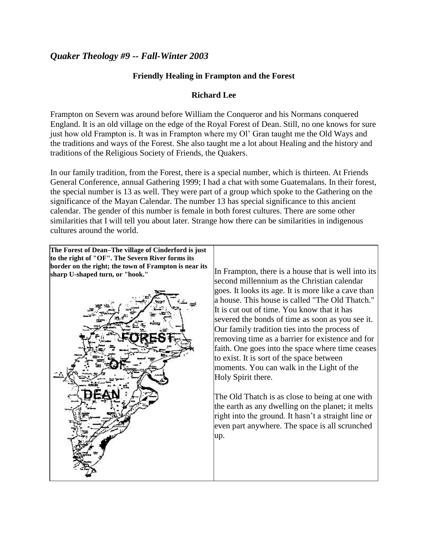## *Quaker Theology #9 -- Fall-Winter 2003*

## **Friendly Healing in Frampton and the Forest**

## **Richard Lee**

Frampton on Severn was around before William the Conqueror and his Normans conquered England. It is an old village on the edge of the Royal Forest of Dean. Still, no one knows for sure just how old Frampton is. It was in Frampton where my Ol' Gran taught me the Old Ways and the traditions and ways of the Forest. She also taught me a lot about Healing and the history and traditions of the Religious Society of Friends, the Quakers.

In our family tradition, from the Forest, there is a special number, which is thirteen. At Friends General Conference, annual Gathering 1999; I had a chat with some Guatemalans. In their forest, the special number is 13 as well. They were part of a group which spoke to the Gathering on the significance of the Mayan Calendar. The number 13 has special significance to this ancient calendar. The gender of this number is female in both forest cultures. There are some other similarities that I will tell you about later. Strange how there can be similarities in indigenous cultures around the world.

**The Forest of Dean–The village of Cinderford is just to the right of "OF". The Severn River forms its border on the right; the town of Frampton is near its** 



sharp U-shaped turn, or "hook." **In Frampton, there** is a house that is well into its second millennium as the Christian calendar goes. It looks its age. It is more like a cave than a house. This house is called "The Old Thatch." It is cut out of time. You know that it has severed the bonds of time as soon as you see it. Our family tradition ties into the process of removing time as a barrier for existence and for faith. One goes into the space where time ceases to exist. It is sort of the space between moments. You can walk in the Light of the Holy Spirit there.

> The Old Thatch is as close to being at one with the earth as any dwelling on the planet; it melts right into the ground. It hasn't a straight line or even part anywhere. The space is all scrunched up.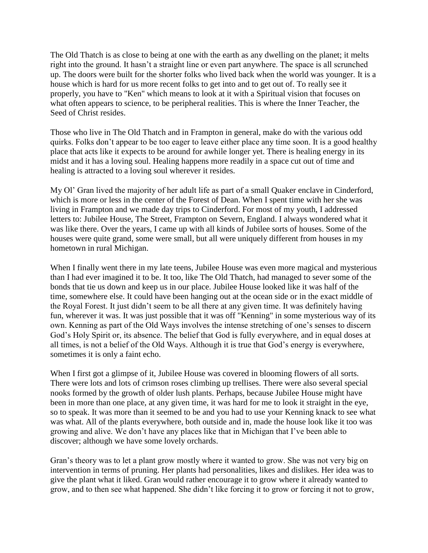The Old Thatch is as close to being at one with the earth as any dwelling on the planet; it melts right into the ground. It hasn't a straight line or even part anywhere. The space is all scrunched up. The doors were built for the shorter folks who lived back when the world was younger. It is a house which is hard for us more recent folks to get into and to get out of. To really see it properly, you have to "Ken" which means to look at it with a Spiritual vision that focuses on what often appears to science, to be peripheral realities. This is where the Inner Teacher, the Seed of Christ resides.

Those who live in The Old Thatch and in Frampton in general, make do with the various odd quirks. Folks don't appear to be too eager to leave either place any time soon. It is a good healthy place that acts like it expects to be around for awhile longer yet. There is healing energy in its midst and it has a loving soul. Healing happens more readily in a space cut out of time and healing is attracted to a loving soul wherever it resides.

My Ol' Gran lived the majority of her adult life as part of a small Quaker enclave in Cinderford, which is more or less in the center of the Forest of Dean. When I spent time with her she was living in Frampton and we made day trips to Cinderford. For most of my youth, I addressed letters to: Jubilee House, The Street, Frampton on Severn, England. I always wondered what it was like there. Over the years, I came up with all kinds of Jubilee sorts of houses. Some of the houses were quite grand, some were small, but all were uniquely different from houses in my hometown in rural Michigan.

When I finally went there in my late teens, Jubilee House was even more magical and mysterious than I had ever imagined it to be. It too, like The Old Thatch, had managed to sever some of the bonds that tie us down and keep us in our place. Jubilee House looked like it was half of the time, somewhere else. It could have been hanging out at the ocean side or in the exact middle of the Royal Forest. It just didn't seem to be all there at any given time. It was definitely having fun, wherever it was. It was just possible that it was off "Kenning" in some mysterious way of its own. Kenning as part of the Old Ways involves the intense stretching of one's senses to discern God's Holy Spirit or, its absence. The belief that God is fully everywhere, and in equal doses at all times, is not a belief of the Old Ways. Although it is true that God's energy is everywhere, sometimes it is only a faint echo.

When I first got a glimpse of it, Jubilee House was covered in blooming flowers of all sorts. There were lots and lots of crimson roses climbing up trellises. There were also several special nooks formed by the growth of older lush plants. Perhaps, because Jubilee House might have been in more than one place, at any given time, it was hard for me to look it straight in the eye, so to speak. It was more than it seemed to be and you had to use your Kenning knack to see what was what. All of the plants everywhere, both outside and in, made the house look like it too was growing and alive. We don't have any places like that in Michigan that I've been able to discover; although we have some lovely orchards.

Gran's theory was to let a plant grow mostly where it wanted to grow. She was not very big on intervention in terms of pruning. Her plants had personalities, likes and dislikes. Her idea was to give the plant what it liked. Gran would rather encourage it to grow where it already wanted to grow, and to then see what happened. She didn't like forcing it to grow or forcing it not to grow,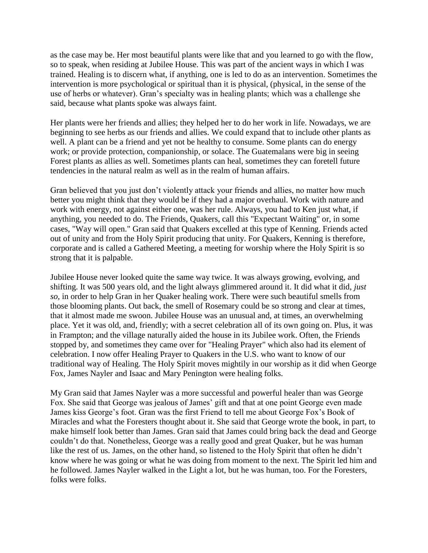as the case may be. Her most beautiful plants were like that and you learned to go with the flow, so to speak, when residing at Jubilee House. This was part of the ancient ways in which I was trained. Healing is to discern what, if anything, one is led to do as an intervention. Sometimes the intervention is more psychological or spiritual than it is physical, (physical, in the sense of the use of herbs or whatever). Gran's specialty was in healing plants; which was a challenge she said, because what plants spoke was always faint.

Her plants were her friends and allies; they helped her to do her work in life. Nowadays, we are beginning to see herbs as our friends and allies. We could expand that to include other plants as well. A plant can be a friend and yet not be healthy to consume. Some plants can do energy work; or provide protection, companionship, or solace. The Guatemalans were big in seeing Forest plants as allies as well. Sometimes plants can heal, sometimes they can foretell future tendencies in the natural realm as well as in the realm of human affairs.

Gran believed that you just don't violently attack your friends and allies, no matter how much better you might think that they would be if they had a major overhaul. Work with nature and work with energy, not against either one, was her rule. Always, you had to Ken just what, if anything, you needed to do. The Friends, Quakers, call this "Expectant Waiting" or, in some cases, "Way will open." Gran said that Quakers excelled at this type of Kenning. Friends acted out of unity and from the Holy Spirit producing that unity. For Quakers, Kenning is therefore, corporate and is called a Gathered Meeting, a meeting for worship where the Holy Spirit is so strong that it is palpable.

Jubilee House never looked quite the same way twice. It was always growing, evolving, and shifting. It was 500 years old, and the light always glimmered around it. It did what it did, *just so*, in order to help Gran in her Quaker healing work. There were such beautiful smells from those blooming plants. Out back, the smell of Rosemary could be so strong and clear at times, that it almost made me swoon. Jubilee House was an unusual and, at times, an overwhelming place. Yet it was old, and, friendly; with a secret celebration all of its own going on. Plus, it was in Frampton; and the village naturally aided the house in its Jubilee work. Often, the Friends stopped by, and sometimes they came over for "Healing Prayer" which also had its element of celebration. I now offer Healing Prayer to Quakers in the U.S. who want to know of our traditional way of Healing. The Holy Spirit moves mightily in our worship as it did when George Fox, James Nayler and Isaac and Mary Penington were healing folks.

My Gran said that James Nayler was a more successful and powerful healer than was George Fox. She said that George was jealous of James' gift and that at one point George even made James kiss George's foot. Gran was the first Friend to tell me about George Fox's Book of Miracles and what the Foresters thought about it. She said that George wrote the book, in part, to make himself look better than James. Gran said that James could bring back the dead and George couldn't do that. Nonetheless, George was a really good and great Quaker, but he was human like the rest of us. James, on the other hand, so listened to the Holy Spirit that often he didn't know where he was going or what he was doing from moment to the next. The Spirit led him and he followed. James Nayler walked in the Light a lot, but he was human, too. For the Foresters, folks were folks.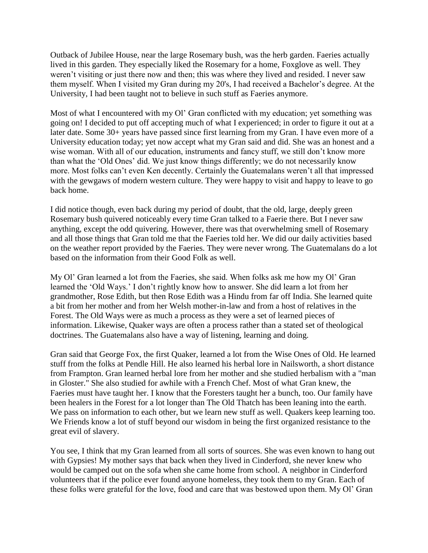Outback of Jubilee House, near the large Rosemary bush, was the herb garden. Faeries actually lived in this garden. They especially liked the Rosemary for a home, Foxglove as well. They weren't visiting or just there now and then; this was where they lived and resided. I never saw them myself. When I visited my Gran during my 20's, I had received a Bachelor's degree. At the University, I had been taught not to believe in such stuff as Faeries anymore.

Most of what I encountered with my Ol' Gran conflicted with my education; yet something was going on! I decided to put off accepting much of what I experienced; in order to figure it out at a later date. Some 30+ years have passed since first learning from my Gran. I have even more of a University education today; yet now accept what my Gran said and did. She was an honest and a wise woman. With all of our education, instruments and fancy stuff, we still don't know more than what the 'Old Ones' did. We just know things differently; we do not necessarily know more. Most folks can't even Ken decently. Certainly the Guatemalans weren't all that impressed with the gewgaws of modern western culture. They were happy to visit and happy to leave to go back home.

I did notice though, even back during my period of doubt, that the old, large, deeply green Rosemary bush quivered noticeably every time Gran talked to a Faerie there. But I never saw anything, except the odd quivering. However, there was that overwhelming smell of Rosemary and all those things that Gran told me that the Faeries told her. We did our daily activities based on the weather report provided by the Faeries. They were never wrong. The Guatemalans do a lot based on the information from their Good Folk as well.

My Ol' Gran learned a lot from the Faeries, she said. When folks ask me how my Ol' Gran learned the 'Old Ways.' I don't rightly know how to answer. She did learn a lot from her grandmother, Rose Edith, but then Rose Edith was a Hindu from far off India. She learned quite a bit from her mother and from her Welsh mother-in-law and from a host of relatives in the Forest. The Old Ways were as much a process as they were a set of learned pieces of information. Likewise, Quaker ways are often a process rather than a stated set of theological doctrines. The Guatemalans also have a way of listening, learning and doing.

Gran said that George Fox, the first Quaker, learned a lot from the Wise Ones of Old. He learned stuff from the folks at Pendle Hill. He also learned his herbal lore in Nailsworth, a short distance from Frampton. Gran learned herbal lore from her mother and she studied herbalism with a "man in Gloster." She also studied for awhile with a French Chef. Most of what Gran knew, the Faeries must have taught her. I know that the Foresters taught her a bunch, too. Our family have been healers in the Forest for a lot longer than The Old Thatch has been leaning into the earth. We pass on information to each other, but we learn new stuff as well. Quakers keep learning too. We Friends know a lot of stuff beyond our wisdom in being the first organized resistance to the great evil of slavery.

You see, I think that my Gran learned from all sorts of sources. She was even known to hang out with Gypsies! My mother says that back when they lived in Cinderford, she never knew who would be camped out on the sofa when she came home from school. A neighbor in Cinderford volunteers that if the police ever found anyone homeless, they took them to my Gran. Each of these folks were grateful for the love, food and care that was bestowed upon them. My Ol' Gran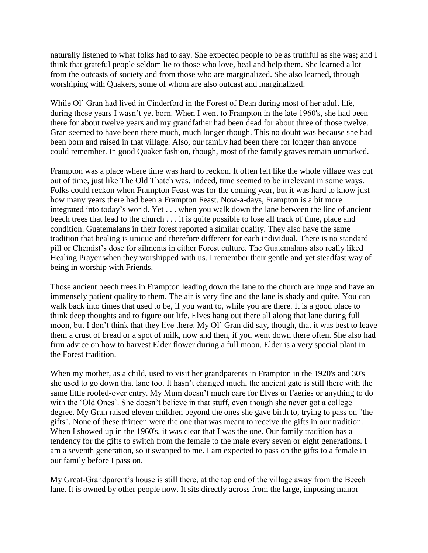naturally listened to what folks had to say. She expected people to be as truthful as she was; and I think that grateful people seldom lie to those who love, heal and help them. She learned a lot from the outcasts of society and from those who are marginalized. She also learned, through worshiping with Quakers, some of whom are also outcast and marginalized.

While Ol' Gran had lived in Cinderford in the Forest of Dean during most of her adult life, during those years I wasn't yet born. When I went to Frampton in the late 1960's, she had been there for about twelve years and my grandfather had been dead for about three of those twelve. Gran seemed to have been there much, much longer though. This no doubt was because she had been born and raised in that village. Also, our family had been there for longer than anyone could remember. In good Quaker fashion, though, most of the family graves remain unmarked.

Frampton was a place where time was hard to reckon. It often felt like the whole village was cut out of time, just like The Old Thatch was. Indeed, time seemed to be irrelevant in some ways. Folks could reckon when Frampton Feast was for the coming year, but it was hard to know just how many years there had been a Frampton Feast. Now-a-days, Frampton is a bit more integrated into today's world. Yet . . . when you walk down the lane between the line of ancient beech trees that lead to the church . . . it is quite possible to lose all track of time, place and condition. Guatemalans in their forest reported a similar quality. They also have the same tradition that healing is unique and therefore different for each individual. There is no standard pill or Chemist's dose for ailments in either Forest culture. The Guatemalans also really liked Healing Prayer when they worshipped with us. I remember their gentle and yet steadfast way of being in worship with Friends.

Those ancient beech trees in Frampton leading down the lane to the church are huge and have an immensely patient quality to them. The air is very fine and the lane is shady and quite. You can walk back into times that used to be, if you want to, while you are there. It is a good place to think deep thoughts and to figure out life. Elves hang out there all along that lane during full moon, but I don't think that they live there. My Ol' Gran did say, though, that it was best to leave them a crust of bread or a spot of milk, now and then, if you went down there often. She also had firm advice on how to harvest Elder flower during a full moon. Elder is a very special plant in the Forest tradition.

When my mother, as a child, used to visit her grandparents in Frampton in the 1920's and 30's she used to go down that lane too. It hasn't changed much, the ancient gate is still there with the same little roofed-over entry. My Mum doesn't much care for Elves or Faeries or anything to do with the 'Old Ones'. She doesn't believe in that stuff, even though she never got a college degree. My Gran raised eleven children beyond the ones she gave birth to, trying to pass on "the gifts". None of these thirteen were the one that was meant to receive the gifts in our tradition. When I showed up in the 1960's, it was clear that I was the one. Our family tradition has a tendency for the gifts to switch from the female to the male every seven or eight generations. I am a seventh generation, so it swapped to me. I am expected to pass on the gifts to a female in our family before I pass on.

My Great-Grandparent's house is still there, at the top end of the village away from the Beech lane. It is owned by other people now. It sits directly across from the large, imposing manor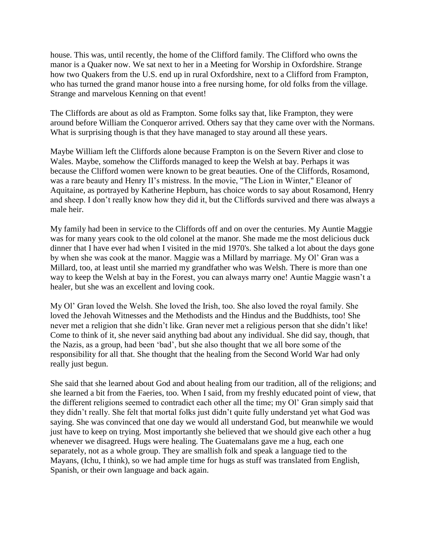house. This was, until recently, the home of the Clifford family. The Clifford who owns the manor is a Quaker now. We sat next to her in a Meeting for Worship in Oxfordshire. Strange how two Quakers from the U.S. end up in rural Oxfordshire, next to a Clifford from Frampton, who has turned the grand manor house into a free nursing home, for old folks from the village. Strange and marvelous Kenning on that event!

The Cliffords are about as old as Frampton. Some folks say that, like Frampton, they were around before William the Conqueror arrived. Others say that they came over with the Normans. What is surprising though is that they have managed to stay around all these years.

Maybe William left the Cliffords alone because Frampton is on the Severn River and close to Wales. Maybe, somehow the Cliffords managed to keep the Welsh at bay. Perhaps it was because the Clifford women were known to be great beauties. One of the Cliffords, Rosamond, was a rare beauty and Henry II's mistress. In the movie, "The Lion in Winter," Eleanor of Aquitaine, as portrayed by Katherine Hepburn, has choice words to say about Rosamond, Henry and sheep. I don't really know how they did it, but the Cliffords survived and there was always a male heir.

My family had been in service to the Cliffords off and on over the centuries. My Auntie Maggie was for many years cook to the old colonel at the manor. She made me the most delicious duck dinner that I have ever had when I visited in the mid 1970's. She talked a lot about the days gone by when she was cook at the manor. Maggie was a Millard by marriage. My Ol' Gran was a Millard, too, at least until she married my grandfather who was Welsh. There is more than one way to keep the Welsh at bay in the Forest, you can always marry one! Auntie Maggie wasn't a healer, but she was an excellent and loving cook.

My Ol' Gran loved the Welsh. She loved the Irish, too. She also loved the royal family. She loved the Jehovah Witnesses and the Methodists and the Hindus and the Buddhists, too! She never met a religion that she didn't like. Gran never met a religious person that she didn't like! Come to think of it, she never said anything bad about any individual. She did say, though, that the Nazis, as a group, had been 'bad', but she also thought that we all bore some of the responsibility for all that. She thought that the healing from the Second World War had only really just begun.

She said that she learned about God and about healing from our tradition, all of the religions; and she learned a bit from the Faeries, too. When I said, from my freshly educated point of view, that the different religions seemed to contradict each other all the time; my Ol' Gran simply said that they didn't really. She felt that mortal folks just didn't quite fully understand yet what God was saying. She was convinced that one day we would all understand God, but meanwhile we would just have to keep on trying. Most importantly she believed that we should give each other a hug whenever we disagreed. Hugs were healing. The Guatemalans gave me a hug, each one separately, not as a whole group. They are smallish folk and speak a language tied to the Mayans, (Ichu, I think), so we had ample time for hugs as stuff was translated from English, Spanish, or their own language and back again.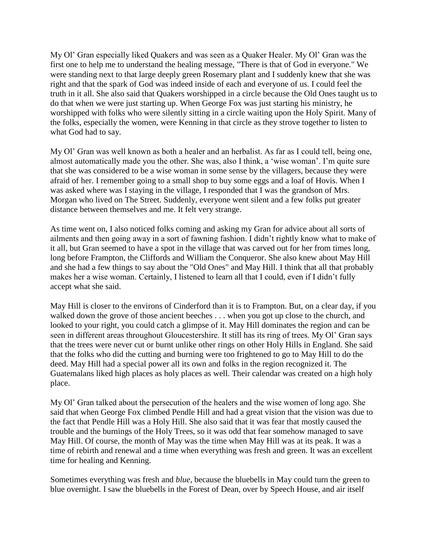My Ol' Gran especially liked Quakers and was seen as a Quaker Healer. My Ol' Gran was the first one to help me to understand the healing message, "There is that of God in everyone." We were standing next to that large deeply green Rosemary plant and I suddenly knew that she was right and that the spark of God was indeed inside of each and everyone of us. I could feel the truth in it all. She also said that Quakers worshipped in a circle because the Old Ones taught us to do that when we were just starting up. When George Fox was just starting his ministry, he worshipped with folks who were silently sitting in a circle waiting upon the Holy Spirit. Many of the folks, especially the women, were Kenning in that circle as they strove together to listen to what God had to say.

My Ol' Gran was well known as both a healer and an herbalist. As far as I could tell, being one, almost automatically made you the other. She was, also I think, a 'wise woman'. I'm quite sure that she was considered to be a wise woman in some sense by the villagers, because they were afraid of her. I remember going to a small shop to buy some eggs and a loaf of Hovis. When I was asked where was I staying in the village, I responded that I was the grandson of Mrs. Morgan who lived on The Street. Suddenly, everyone went silent and a few folks put greater distance between themselves and me. It felt very strange.

As time went on, I also noticed folks coming and asking my Gran for advice about all sorts of ailments and then going away in a sort of fawning fashion. I didn't rightly know what to make of it all, but Gran seemed to have a spot in the village that was carved out for her from times long, long before Frampton, the Cliffords and William the Conqueror. She also knew about May Hill and she had a few things to say about the "Old Ones" and May Hill. I think that all that probably makes her a wise woman. Certainly, I listened to learn all that I could, even if I didn't fully accept what she said.

May Hill is closer to the environs of Cinderford than it is to Frampton. But, on a clear day, if you walked down the grove of those ancient beeches . . . when you got up close to the church, and looked to your right, you could catch a glimpse of it. May Hill dominates the region and can be seen in different areas throughout Gloucestershire. It still has its ring of trees. My Ol' Gran says that the trees were never cut or burnt unlike other rings on other Holy Hills in England. She said that the folks who did the cutting and burning were too frightened to go to May Hill to do the deed. May Hill had a special power all its own and folks in the region recognized it. The Guatemalans liked high places as holy places as well. Their calendar was created on a high holy place.

My Ol' Gran talked about the persecution of the healers and the wise women of long ago. She said that when George Fox climbed Pendle Hill and had a great vision that the vision was due to the fact that Pendle Hill was a Holy Hill. She also said that it was fear that mostly caused the trouble and the burnings of the Holy Trees, so it was odd that fear somehow managed to save May Hill. Of course, the month of May was the time when May Hill was at its peak. It was a time of rebirth and renewal and a time when everything was fresh and green. It was an excellent time for healing and Kenning.

Sometimes everything was fresh and *blue*, because the bluebells in May could turn the green to blue overnight. I saw the bluebells in the Forest of Dean, over by Speech House, and air itself